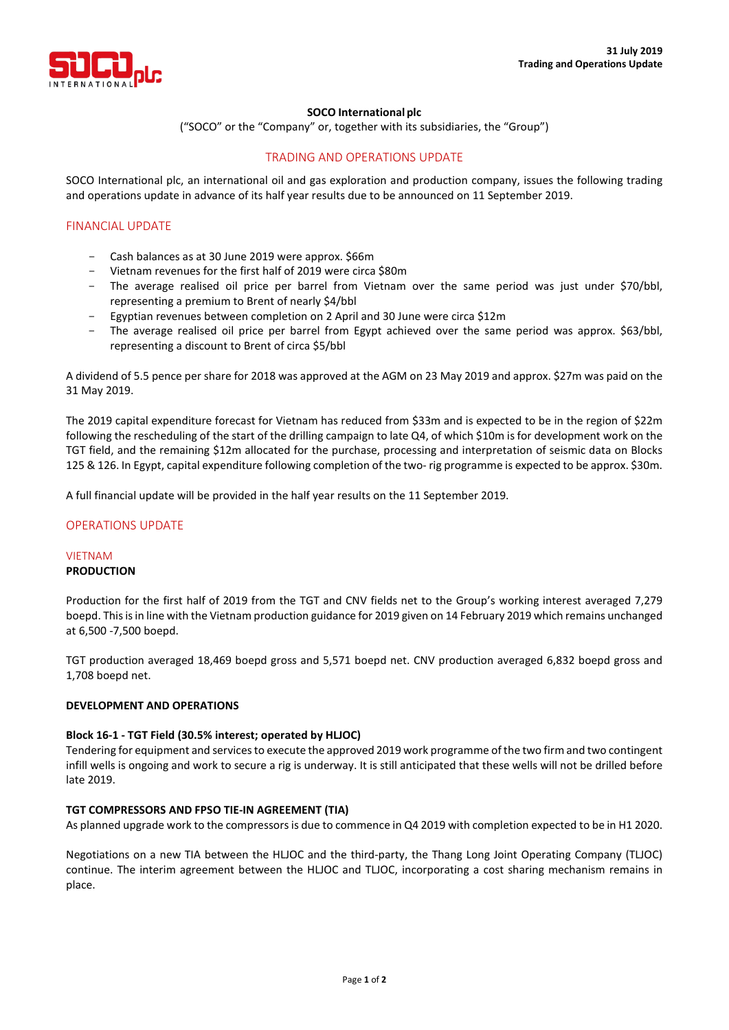

### **SOCO International plc**

("SOCO" or the "Company" or, together with its subsidiaries, the "Group")

# TRADING AND OPERATIONS UPDATE

SOCO International plc, an international oil and gas exploration and production company, issues the following trading and operations update in advance of its half year results due to be announced on 11 September 2019.

# FINANCIAL UPDATE

- Cash balances as at 30 June 2019 were approx. \$66m
- Vietnam revenues for the first half of 2019 were circa \$80m
- The average realised oil price per barrel from Vietnam over the same period was just under \$70/bbl, representing a premium to Brent of nearly \$4/bbl
- Egyptian revenues between completion on 2 April and 30 June were circa \$12m
- The average realised oil price per barrel from Egypt achieved over the same period was approx. \$63/bbl, representing a discount to Brent of circa \$5/bbl

A dividend of 5.5 pence per share for 2018 was approved at the AGM on 23 May 2019 and approx. \$27m was paid on the 31 May 2019.

The 2019 capital expenditure forecast for Vietnam has reduced from \$33m and is expected to be in the region of \$22m following the rescheduling of the start of the drilling campaign to late Q4, of which \$10m is for development work on the TGT field, and the remaining \$12m allocated for the purchase, processing and interpretation of seismic data on Blocks 125 & 126. In Egypt, capital expenditure following completion of the two- rig programme is expected to be approx. \$30m.

A full financial update will be provided in the half year results on the 11 September 2019.

### OPERATIONS UPDATE

#### VIETNAM **PRODUCTION**

Production for the first half of 2019 from the TGT and CNV fields net to the Group's working interest averaged 7,279 boepd. This is in line with the Vietnam production guidance for 2019 given on 14 February 2019 which remains unchanged at 6,500 -7,500 boepd.

TGT production averaged 18,469 boepd gross and 5,571 boepd net. CNV production averaged 6,832 boepd gross and 1,708 boepd net.

### **DEVELOPMENT AND OPERATIONS**

### **Block 16-1 - TGT Field (30.5% interest; operated by HLJOC)**

Tendering for equipment and services to execute the approved 2019 work programme of the two firm and two contingent infill wells is ongoing and work to secure a rig is underway. It is still anticipated that these wells will not be drilled before late 2019.

### **TGT COMPRESSORS AND FPSO TIE-IN AGREEMENT (TIA)**

As planned upgrade work to the compressors is due to commence in Q4 2019 with completion expected to be in H1 2020.

Negotiations on a new TIA between the HLJOC and the third-party, the Thang Long Joint Operating Company (TLJOC) continue. The interim agreement between the HLJOC and TLJOC, incorporating a cost sharing mechanism remains in place.